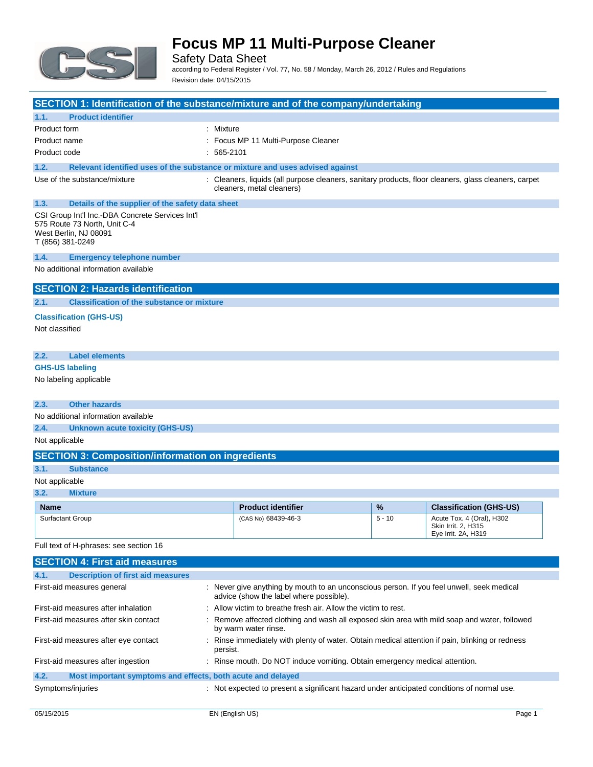

Safety Data Sheet

according to Federal Register / Vol. 77, No. 58 / Monday, March 26, 2012 / Rules and Regulations Revision date: 04/15/2015

|                                                                                                                                                   | SECTION 1: Identification of the substance/mixture and of the company/undertaking                                                                           |                                                                                                                                      |          |                                                                         |
|---------------------------------------------------------------------------------------------------------------------------------------------------|-------------------------------------------------------------------------------------------------------------------------------------------------------------|--------------------------------------------------------------------------------------------------------------------------------------|----------|-------------------------------------------------------------------------|
| 1.1.                                                                                                                                              | <b>Product identifier</b>                                                                                                                                   |                                                                                                                                      |          |                                                                         |
| Product form                                                                                                                                      |                                                                                                                                                             | : Mixture                                                                                                                            |          |                                                                         |
| Product name                                                                                                                                      |                                                                                                                                                             | Focus MP 11 Multi-Purpose Cleaner                                                                                                    |          |                                                                         |
| Product code                                                                                                                                      |                                                                                                                                                             | : 565-2101                                                                                                                           |          |                                                                         |
| 1.2.                                                                                                                                              |                                                                                                                                                             | Relevant identified uses of the substance or mixture and uses advised against                                                        |          |                                                                         |
|                                                                                                                                                   | Use of the substance/mixture                                                                                                                                | : Cleaners, liquids (all purpose cleaners, sanitary products, floor cleaners, glass cleaners, carpet<br>cleaners, metal cleaners)    |          |                                                                         |
| 1.3.                                                                                                                                              | Details of the supplier of the safety data sheet                                                                                                            |                                                                                                                                      |          |                                                                         |
| CSI Group Int'l Inc.-DBA Concrete Services Int'l<br>575 Route 73 North, Unit C-4<br>West Berlin, NJ 08091<br>T (856) 381-0249                     |                                                                                                                                                             |                                                                                                                                      |          |                                                                         |
| 1.4.                                                                                                                                              | <b>Emergency telephone number</b>                                                                                                                           |                                                                                                                                      |          |                                                                         |
| No additional information available                                                                                                               |                                                                                                                                                             |                                                                                                                                      |          |                                                                         |
|                                                                                                                                                   | <b>SECTION 2: Hazards identification</b>                                                                                                                    |                                                                                                                                      |          |                                                                         |
| 2.1.                                                                                                                                              | <b>Classification of the substance or mixture</b>                                                                                                           |                                                                                                                                      |          |                                                                         |
|                                                                                                                                                   | <b>Classification (GHS-US)</b>                                                                                                                              |                                                                                                                                      |          |                                                                         |
| Not classified                                                                                                                                    |                                                                                                                                                             |                                                                                                                                      |          |                                                                         |
| 2.2.                                                                                                                                              | <b>Label elements</b>                                                                                                                                       |                                                                                                                                      |          |                                                                         |
|                                                                                                                                                   | <b>GHS-US labeling</b>                                                                                                                                      |                                                                                                                                      |          |                                                                         |
| No labeling applicable                                                                                                                            |                                                                                                                                                             |                                                                                                                                      |          |                                                                         |
| 2.3.                                                                                                                                              | <b>Other hazards</b>                                                                                                                                        |                                                                                                                                      |          |                                                                         |
|                                                                                                                                                   | No additional information available                                                                                                                         |                                                                                                                                      |          |                                                                         |
| 2.4.                                                                                                                                              | <b>Unknown acute toxicity (GHS-US)</b>                                                                                                                      |                                                                                                                                      |          |                                                                         |
| Not applicable                                                                                                                                    |                                                                                                                                                             |                                                                                                                                      |          |                                                                         |
|                                                                                                                                                   | <b>SECTION 3: Composition/information on ingredients</b>                                                                                                    |                                                                                                                                      |          |                                                                         |
| 3.1.                                                                                                                                              | <b>Substance</b>                                                                                                                                            |                                                                                                                                      |          |                                                                         |
| Not applicable                                                                                                                                    |                                                                                                                                                             |                                                                                                                                      |          |                                                                         |
| 3.2.                                                                                                                                              | <b>Mixture</b>                                                                                                                                              |                                                                                                                                      |          |                                                                         |
| <b>Name</b>                                                                                                                                       |                                                                                                                                                             | <b>Product identifier</b>                                                                                                            | %        | <b>Classification (GHS-US)</b>                                          |
|                                                                                                                                                   | <b>Surfactant Group</b>                                                                                                                                     | (CAS No) 68439-46-3                                                                                                                  | $5 - 10$ | Acute Tox. 4 (Oral), H302<br>Skin Irrit. 2, H315<br>Eye Irrit. 2A, H319 |
| Full text of H-phrases: see section 16                                                                                                            |                                                                                                                                                             |                                                                                                                                      |          |                                                                         |
|                                                                                                                                                   | <b>SECTION 4: First aid measures</b>                                                                                                                        |                                                                                                                                      |          |                                                                         |
| 4.1.                                                                                                                                              | <b>Description of first aid measures</b>                                                                                                                    |                                                                                                                                      |          |                                                                         |
|                                                                                                                                                   | First-aid measures general                                                                                                                                  | : Never give anything by mouth to an unconscious person. If you feel unwell, seek medical<br>advice (show the label where possible). |          |                                                                         |
|                                                                                                                                                   | First-aid measures after inhalation                                                                                                                         | Allow victim to breathe fresh air. Allow the victim to rest.                                                                         |          |                                                                         |
|                                                                                                                                                   | First-aid measures after skin contact<br>Remove affected clothing and wash all exposed skin area with mild soap and water, followed<br>by warm water rinse. |                                                                                                                                      |          |                                                                         |
| First-aid measures after eye contact<br>Rinse immediately with plenty of water. Obtain medical attention if pain, blinking or redness<br>persist. |                                                                                                                                                             |                                                                                                                                      |          |                                                                         |
|                                                                                                                                                   | First-aid measures after ingestion                                                                                                                          | : Rinse mouth. Do NOT induce vomiting. Obtain emergency medical attention.                                                           |          |                                                                         |
| 4.2.                                                                                                                                              | Most important symptoms and effects, both acute and delayed                                                                                                 |                                                                                                                                      |          |                                                                         |

Symptoms/injuries **interpretent in the symptoms** of the symptoms/injuries interpretent a significant hazard under anticipated conditions of normal use.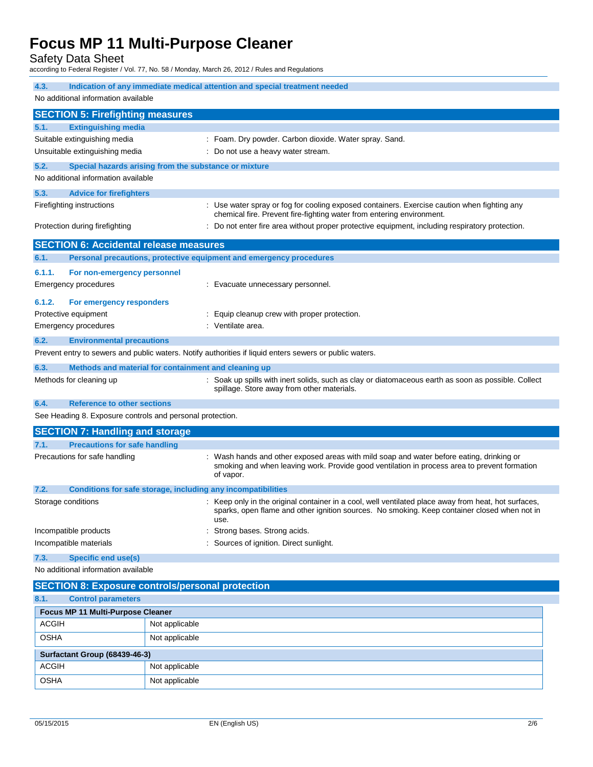Safety Data Sheet

according to Federal Register / Vol. 77, No. 58 / Monday, March 26, 2012 / Rules and Regulations

| 4.3.<br>Indication of any immediate medical attention and special treatment needed<br>No additional information available                                                                      |                                                                                                                                                                                                              |  |  |
|------------------------------------------------------------------------------------------------------------------------------------------------------------------------------------------------|--------------------------------------------------------------------------------------------------------------------------------------------------------------------------------------------------------------|--|--|
| <b>SECTION 5: Firefighting measures</b>                                                                                                                                                        |                                                                                                                                                                                                              |  |  |
| 5.1.<br><b>Extinguishing media</b>                                                                                                                                                             |                                                                                                                                                                                                              |  |  |
| Suitable extinguishing media                                                                                                                                                                   | : Foam. Dry powder. Carbon dioxide. Water spray. Sand.                                                                                                                                                       |  |  |
| Unsuitable extinguishing media                                                                                                                                                                 | Do not use a heavy water stream.                                                                                                                                                                             |  |  |
| 5.2.                                                                                                                                                                                           | Special hazards arising from the substance or mixture                                                                                                                                                        |  |  |
| No additional information available                                                                                                                                                            |                                                                                                                                                                                                              |  |  |
| 5.3.<br><b>Advice for firefighters</b>                                                                                                                                                         |                                                                                                                                                                                                              |  |  |
| Firefighting instructions                                                                                                                                                                      | : Use water spray or fog for cooling exposed containers. Exercise caution when fighting any                                                                                                                  |  |  |
| Protection during firefighting                                                                                                                                                                 | chemical fire. Prevent fire-fighting water from entering environment.<br>: Do not enter fire area without proper protective equipment, including respiratory protection.                                     |  |  |
|                                                                                                                                                                                                |                                                                                                                                                                                                              |  |  |
| <b>SECTION 6: Accidental release measures</b>                                                                                                                                                  |                                                                                                                                                                                                              |  |  |
| 6.1.                                                                                                                                                                                           | Personal precautions, protective equipment and emergency procedures                                                                                                                                          |  |  |
| 6.1.1.<br>For non-emergency personnel                                                                                                                                                          | : Evacuate unnecessary personnel.                                                                                                                                                                            |  |  |
| Emergency procedures                                                                                                                                                                           |                                                                                                                                                                                                              |  |  |
| 6.1.2.<br>For emergency responders                                                                                                                                                             |                                                                                                                                                                                                              |  |  |
| Protective equipment                                                                                                                                                                           | Equip cleanup crew with proper protection.<br>: Ventilate area.                                                                                                                                              |  |  |
| <b>Emergency procedures</b>                                                                                                                                                                    |                                                                                                                                                                                                              |  |  |
| 6.2.<br><b>Environmental precautions</b>                                                                                                                                                       | Prevent entry to sewers and public waters. Notify authorities if liquid enters sewers or public waters.                                                                                                      |  |  |
|                                                                                                                                                                                                |                                                                                                                                                                                                              |  |  |
| Methods and material for containment and cleaning up<br>6.3.<br>Methods for cleaning up<br>: Soak up spills with inert solids, such as clay or diatomaceous earth as soon as possible. Collect |                                                                                                                                                                                                              |  |  |
|                                                                                                                                                                                                | spillage. Store away from other materials.                                                                                                                                                                   |  |  |
| 6.4.<br><b>Reference to other sections</b>                                                                                                                                                     |                                                                                                                                                                                                              |  |  |
| See Heading 8. Exposure controls and personal protection.                                                                                                                                      |                                                                                                                                                                                                              |  |  |
| <b>SECTION 7: Handling and storage</b>                                                                                                                                                         |                                                                                                                                                                                                              |  |  |
| <b>Precautions for safe handling</b><br>7.1.                                                                                                                                                   |                                                                                                                                                                                                              |  |  |
| Precautions for safe handling                                                                                                                                                                  | Wash hands and other exposed areas with mild soap and water before eating, drinking or<br>smoking and when leaving work. Provide good ventilation in process area to prevent formation<br>of vapor.          |  |  |
| Conditions for safe storage, including any incompatibilities<br>7.2.                                                                                                                           |                                                                                                                                                                                                              |  |  |
| Storage conditions                                                                                                                                                                             | : Keep only in the original container in a cool, well ventilated place away from heat, hot surfaces,<br>sparks, open flame and other ignition sources. No smoking. Keep container closed when not in<br>use. |  |  |
| Incompatible products                                                                                                                                                                          | Strong bases. Strong acids.                                                                                                                                                                                  |  |  |
| Incompatible materials                                                                                                                                                                         | Sources of ignition. Direct sunlight.                                                                                                                                                                        |  |  |
| <b>Specific end use(s)</b><br>7.3.                                                                                                                                                             |                                                                                                                                                                                                              |  |  |
| No additional information available                                                                                                                                                            |                                                                                                                                                                                                              |  |  |
|                                                                                                                                                                                                | <b>SECTION 8: Exposure controls/personal protection</b>                                                                                                                                                      |  |  |
| 8.1.<br><b>Control parameters</b>                                                                                                                                                              |                                                                                                                                                                                                              |  |  |
| Focus MP 11 Multi-Purpose Cleaner                                                                                                                                                              |                                                                                                                                                                                                              |  |  |
| <b>ACGIH</b>                                                                                                                                                                                   | Not applicable                                                                                                                                                                                               |  |  |
| <b>OSHA</b>                                                                                                                                                                                    | Not applicable                                                                                                                                                                                               |  |  |
| Surfactant Group (68439-46-3)                                                                                                                                                                  |                                                                                                                                                                                                              |  |  |

ACGIH Not applicable OSHA Not applicable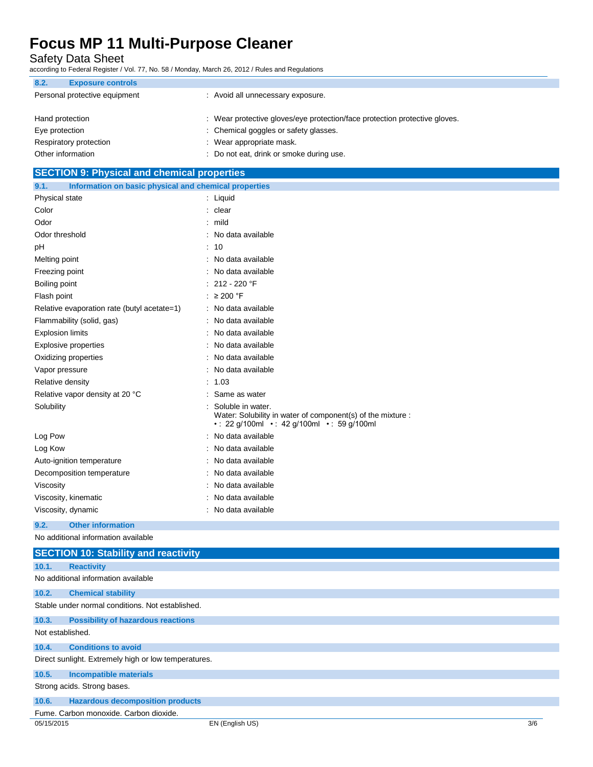Safety Data Sheet

according to Federal Register / Vol. 77, No. 58 / Monday, March 26, 2012 / Rules and Regulations

| 8.2.              | <b>Exposure controls</b>      |                                                                            |
|-------------------|-------------------------------|----------------------------------------------------------------------------|
|                   | Personal protective equipment | : Avoid all unnecessary exposure.                                          |
| Hand protection   |                               | : Wear protective gloves/eye protection/face protection protective gloves. |
| Eye protection    |                               | : Chemical goggles or safety glasses.                                      |
|                   | Respiratory protection        | : Wear appropriate mask.                                                   |
| Other information |                               | Do not eat, drink or smoke during use.                                     |

## **SECTION 9: Physical and chemical properties 9.1. Information on basic physical and chemical properties** Physical state : Liquid Color : clear Odor : mild Odor threshold is a set of the state of the state of the state of the state of the state of the state of the state of the state of the state of the state of the state of the state of the state of the state of the state of pH : 10 Melting point **in the case of the case of the case of the case of the case of the case of the case of the case of the case of the case of the case of the case of the case of the case of the case of the case of the case of** Freezing point **in the case of the Contract Contract Contract Contract Contract Contract Contract Contract Contract Contract Contract Contract Contract Contract Contract Contract Contract Contract Contract Contract Contrac** Boiling point : 212 - 220 °F Flash point : ≥ 200 °F Relative evaporation rate (butyl acetate=1) : No data available Flammability (solid, gas) : No data available Explosion limits **Explosion** limits **in the set of the set of the set of the set of the set of the set of the set of the set of the set of the set of the set of the set of the set of the set of the set of the set of the se** Explosive properties in the set of the set of the set of the set of the set of the set of the set of the set of the set of the set of the set of the set of the set of the set of the set of the set of the set of the set of Oxidizing properties **in the contract of the Contract August** 2011 : No data available Vapor pressure in the set of the set of the set of the Vapor pressure in the set of the set of the Vapor set o Relative density in the set of the set of the set of the set of the set of the set of the set of the set of the set of the set of the set of the set of the set of the set of the set of the set of the set of the set of the Relative vapor density at 20 °C : Same as water Solubility : Solubile in water. Water: Solubility in water of component(s) of the mixture : • : 22 g/100ml • : 42 g/100ml • : 59 g/100ml Log Pow  $\qquad \qquad$ : No data available Log Kow : No data available Auto-ignition temperature **interest and the Contract Contract Auto-ignition** contract available Decomposition temperature **interest and the Composition temperature** : No data available Viscosity **in the COVID-2008** Viscosity **: No data available** Viscosity, kinematic intervalsed a state of the No data available Viscosity, dynamic **intervalse in the Contract of Contract Available** : No data available **9.2. Other information** No additional information available **SECTION 10: Stability and reactivity 10.1. Reactivity** No additional information available **10.2. Chemical stability** Stable under normal conditions. Not established. **10.3. Possibility of hazardous reactions** Not established. **10.4. Conditions to avoid** Direct sunlight. Extremely high or low temperatures. **10.5. Incompatible materials** Strong acids. Strong bases. **10.6. Hazardous decomposition products**

Fume. Carbon monoxide. Carbon dioxide.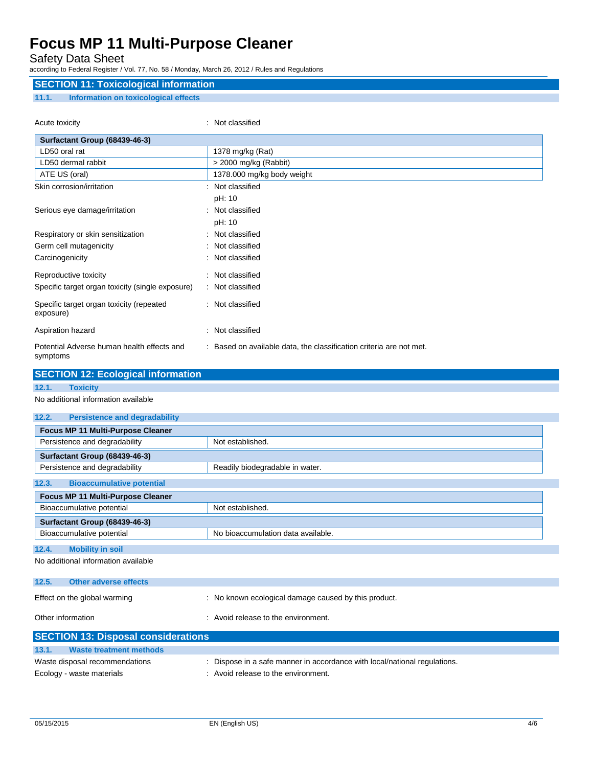### Safety Data Sheet

according to Federal Register / Vol. 77, No. 58 / Monday, March 26, 2012 / Rules and Regulations

## **SECTION 11: Toxicological information 11.1. Information on toxicological effects**

| Acute toxicity                                         | Not classified                                                      |
|--------------------------------------------------------|---------------------------------------------------------------------|
| Surfactant Group (68439-46-3)                          |                                                                     |
| LD50 oral rat                                          | 1378 mg/kg (Rat)                                                    |
| LD50 dermal rabbit                                     | > 2000 mg/kg (Rabbit)                                               |
| ATE US (oral)                                          | 1378.000 mg/kg body weight                                          |
| Skin corrosion/irritation                              | Not classified<br>٠                                                 |
|                                                        | pH: 10                                                              |
| Serious eye damage/irritation                          | : Not classified                                                    |
|                                                        | pH: 10                                                              |
| Respiratory or skin sensitization                      | : Not classified                                                    |
| Germ cell mutagenicity                                 | Not classified                                                      |
| Carcinogenicity                                        | Not classified                                                      |
| Reproductive toxicity                                  | : Not classified                                                    |
| Specific target organ toxicity (single exposure)       | : Not classified                                                    |
| Specific target organ toxicity (repeated<br>exposure)  | : Not classified                                                    |
| Aspiration hazard                                      | : Not classified                                                    |
| Potential Adverse human health effects and<br>symptoms | : Based on available data, the classification criteria are not met. |

|                                               | <b>SECTION 12: Ecological information</b>            |  |  |  |
|-----------------------------------------------|------------------------------------------------------|--|--|--|
| 12.1.<br><b>Toxicity</b>                      |                                                      |  |  |  |
| No additional information available           |                                                      |  |  |  |
| <b>Persistence and degradability</b><br>12.2. |                                                      |  |  |  |
| Focus MP 11 Multi-Purpose Cleaner             |                                                      |  |  |  |
| Persistence and degradability                 | Not established.                                     |  |  |  |
| Surfactant Group (68439-46-3)                 |                                                      |  |  |  |
| Persistence and degradability                 | Readily biodegradable in water.                      |  |  |  |
| <b>Bioaccumulative potential</b><br>12.3.     |                                                      |  |  |  |
| Focus MP 11 Multi-Purpose Cleaner             |                                                      |  |  |  |
| Not established.<br>Bioaccumulative potential |                                                      |  |  |  |
| Surfactant Group (68439-46-3)                 |                                                      |  |  |  |
| Bioaccumulative potential                     | No bioaccumulation data available.                   |  |  |  |
| <b>Mobility in soil</b><br>12.4.              |                                                      |  |  |  |
| No additional information available           |                                                      |  |  |  |
| 12.5.<br><b>Other adverse effects</b>         |                                                      |  |  |  |
| Effect on the global warming                  | : No known ecological damage caused by this product. |  |  |  |
| Other information                             | : Avoid release to the environment.                  |  |  |  |
| <b>SECTION 13: Disposal considerations</b>    |                                                      |  |  |  |
| 131<br>Waste treatment methods                |                                                      |  |  |  |

| 13.1.<br>Waste treatment methods |                                                                           |
|----------------------------------|---------------------------------------------------------------------------|
| Waste disposal recommendations   | : Dispose in a safe manner in accordance with local/national regulations. |
| Ecology - waste materials        | : Avoid release to the environment.                                       |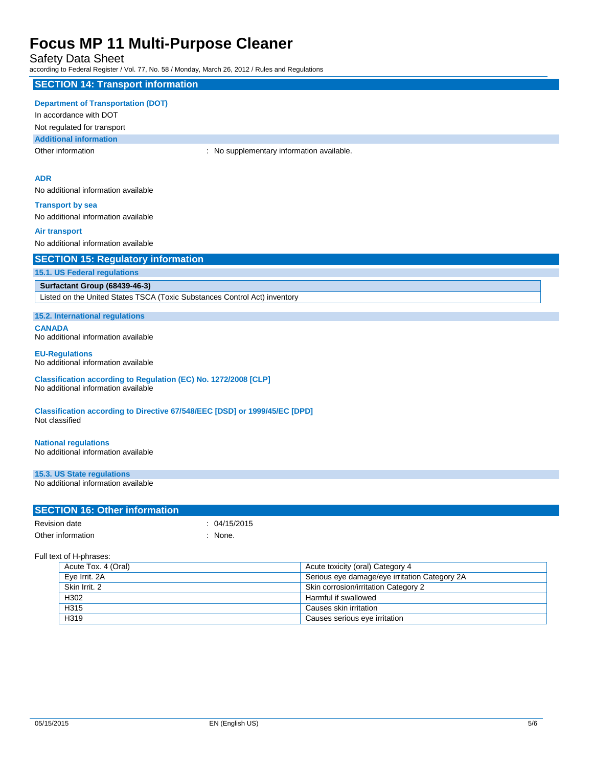## Safety Data Sheet

according to Federal Register / Vol. 77, No. 58 / Monday, March 26, 2012 / Rules and Regulations

### **SECTION 14: Transport information**

#### **Department of Transportation (DOT)**

In accordance with DOT

Not regulated for transport

**Additional information**

Other information **Channel Constant Channel Channel Channel Channel Channel Channel Channel Channel Channel Channel Channel Channel Channel Channel Channel Channel Channel Channel Channel Channel Channel Channel Channel Ch** 

### **ADR**

No additional information available

**Transport by sea** No additional information available

#### **Air transport**

No additional information available

| <b>SECTION 15: Regulatory information</b> |
|-------------------------------------------|
|-------------------------------------------|

#### **15.1. US Federal regulations**

#### **Surfactant Group (68439-46-3)**

Listed on the United States TSCA (Toxic Substances Control Act) inventory

**15.2. International regulations**

**CANADA** No additional information available

#### **EU-Regulations** No additional information available

**Classification according to Regulation (EC) No. 1272/2008 [CLP]** No additional information available

**Classification according to Directive 67/548/EEC [DSD] or 1999/45/EC [DPD]** Not classified

#### **National regulations**

No additional information available

**15.3. US State regulations**

No additional information available

#### **SECTION 16: Other information**

| Revision date     | : 04/15/2015 |
|-------------------|--------------|
| Other information | : None.      |

Full text of H-phrases:

| Acute Tox. 4 (Oral) | Acute toxicity (oral) Category 4              |
|---------------------|-----------------------------------------------|
| Eye Irrit. 2A       | Serious eye damage/eye irritation Category 2A |
| Skin Irrit, 2       | Skin corrosion/irritation Category 2          |
| H302                | Harmful if swallowed                          |
| H315                | Causes skin irritation                        |
| H319                | Causes serious eye irritation                 |